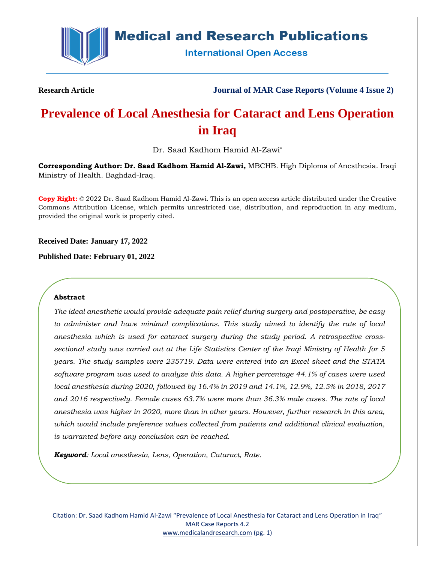

# **Medical and Research Publications**

**International Open Access** 

**Research Article Journal of MAR Case Reports (Volume 4 Issue 2)**

# **Prevalence of Local Anesthesia for Cataract and Lens Operation in Iraq**

Dr. Saad Kadhom Hamid Al-Zawi\*

**Corresponding Author: Dr. Saad Kadhom Hamid Al-Zawi,** MBCHB. High Diploma of Anesthesia. Iraqi Ministry of Health. Baghdad-Iraq.

**Copy Right:** © 2022 Dr. Saad Kadhom Hamid Al-Zawi. This is an open access article distributed under the Creative Commons Attribution License, which permits unrestricted use, distribution, and reproduction in any medium, provided the original work is properly cited.

**Received Date: January 17, 2022**

**Published Date: February 01, 2022**

# **Abstract**

*The ideal anesthetic would provide adequate pain relief during surgery and postoperative, be easy to administer and have minimal complications. This study aimed to identify the rate of local anesthesia which is used for cataract surgery during the study period. A retrospective crosssectional study was carried out at the Life Statistics Center of the Iraqi Ministry of Health for 5 years. The study samples were 235719. Data were entered into an Excel sheet and the STATA software program was used to analyze this data. A higher percentage 44.1% of cases were used local anesthesia during 2020, followed by 16.4% in 2019 and 14.1%, 12.9%, 12.5% in 2018, 2017 and 2016 respectively. Female cases 63.7% were more than 36.3% male cases. The rate of local anesthesia was higher in 2020, more than in other years. However, further research in this area, which would include preference values collected from patients and additional clinical evaluation, is warranted before any conclusion can be reached.*

*Keyword: Local anesthesia, Lens, Operation, Cataract, Rate.*

Citation: Dr. Saad Kadhom Hamid Al-Zawi "Prevalence of Local Anesthesia for Cataract and Lens Operation in Iraq" MAR Case Reports 4.2 [www.medicalandresearch.com](http://www.medicalandresearch.com/) (pg. 1)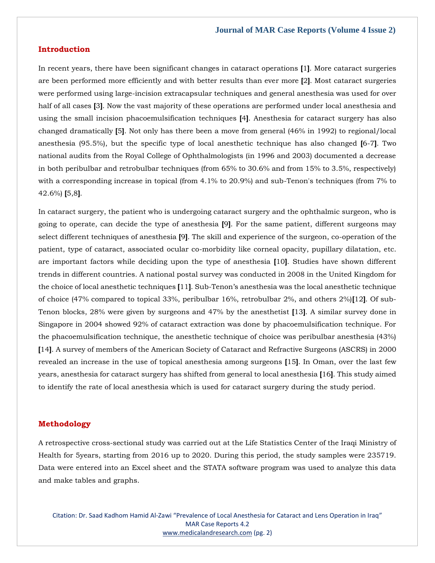### **Introduction**

In recent years, there have been significant changes in cataract operations **[**1**]**. More cataract surgeries are been performed more efficiently and with better results than ever more **[**2**]**. Most cataract surgeries were performed using large-incision extracapsular techniques and general anesthesia was used for over half of all cases **[**3**]**. Now the vast majority of these operations are performed under local anesthesia and using the small incision phacoemulsification techniques **[**4**]**. Anesthesia for cataract surgery has also changed dramatically **[**5**]**. Not only has there been a move from general (46% in 1992) to regional/local anesthesia (95.5%), but the specific type of local anesthetic technique has also changed **[**6-7**]**. Two national audits from the Royal College of Ophthalmologists (in 1996 and 2003) documented a decrease in both peribulbar and retrobulbar techniques (from 65% to 30.6% and from 15% to 3.5%, respectively) with a corresponding increase in topical (from 4.1% to 20.9%) and sub-Tenon's techniques (from 7% to 42.6%) **[**5,8**]**.

In cataract surgery, the patient who is undergoing cataract surgery and the ophthalmic surgeon, who is going to operate, can decide the type of anesthesia **[**9**]**. For the same patient, different surgeons may select different techniques of anesthesia **[**9**]**. The skill and experience of the surgeon, co-operation of the patient, type of cataract, associated ocular co-morbidity like corneal opacity, pupillary dilatation, etc. are important factors while deciding upon the type of anesthesia **[**10**]**. Studies have shown different trends in different countries. A national postal survey was conducted in 2008 in the United Kingdom for the choice of local anesthetic techniques **[**11**]**. Sub-Tenon's anesthesia was the local anesthetic technique of choice (47% compared to topical 33%, peribulbar 16%, retrobulbar 2%, and others 2%)**[**12**]**. Of sub-Tenon blocks, 28% were given by surgeons and 47% by the anesthetist **[**13**]**. A similar survey done in Singapore in 2004 showed 92% of cataract extraction was done by phacoemulsification technique. For the phacoemulsification technique, the anesthetic technique of choice was peribulbar anesthesia (43%) **[**14**]**. A survey of members of the American Society of Cataract and Refractive Surgeons (ASCRS) in 2000 revealed an increase in the use of topical anesthesia among surgeons **[**15**]**. In Oman, over the last few years, anesthesia for cataract surgery has shifted from general to local anesthesia **[**16**]**. This study aimed to identify the rate of local anesthesia which is used for cataract surgery during the study period.

### **Methodology**

A retrospective cross-sectional study was carried out at the Life Statistics Center of the Iraqi Ministry of Health for 5years, starting from 2016 up to 2020. During this period, the study samples were 235719. Data were entered into an Excel sheet and the STATA software program was used to analyze this data and make tables and graphs.

Citation: Dr. Saad Kadhom Hamid Al-Zawi "Prevalence of Local Anesthesia for Cataract and Lens Operation in Iraq" MAR Case Reports 4.2 [www.medicalandresearch.com](http://www.medicalandresearch.com/) (pg. 2)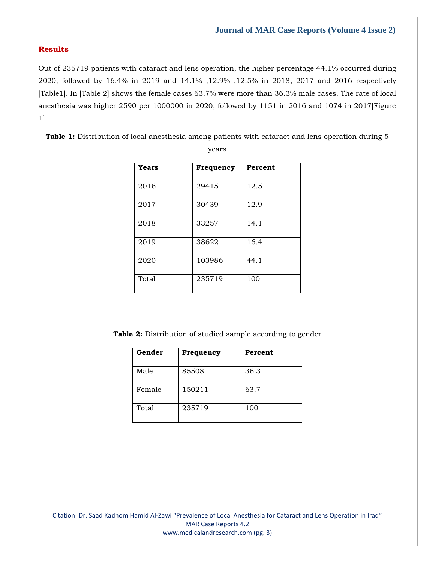# **Results**

Out of 235719 patients with cataract and lens operation, the higher percentage 44.1% occurred during 2020, followed by 16.4% in 2019 and 14.1% ,12.9% ,12.5% in 2018, 2017 and 2016 respectively [Table1]. In [Table 2] shows the female cases 63.7% were more than 36.3% male cases. The rate of local anesthesia was higher 2590 per 1000000 in 2020, followed by 1151 in 2016 and 1074 in 2017[Figure 1].

**Table 1:** Distribution of local anesthesia among patients with cataract and lens operation during 5

| Years | Frequency | Percent |
|-------|-----------|---------|
| 2016  | 29415     | 12.5    |
| 2017  | 30439     | 12.9    |
| 2018  | 33257     | 14.1    |
| 2019  | 38622     | 16.4    |
| 2020  | 103986    | 44.1    |
| Total | 235719    | 100     |

years

Table 2: Distribution of studied sample according to gender

| Gender | Frequency | Percent |
|--------|-----------|---------|
| Male   | 85508     | 36.3    |
| Female | 150211    | 63.7    |
| Total  | 235719    | 100     |

Citation: Dr. Saad Kadhom Hamid Al-Zawi "Prevalence of Local Anesthesia for Cataract and Lens Operation in Iraq" MAR Case Reports 4.2 [www.medicalandresearch.com](http://www.medicalandresearch.com/) (pg. 3)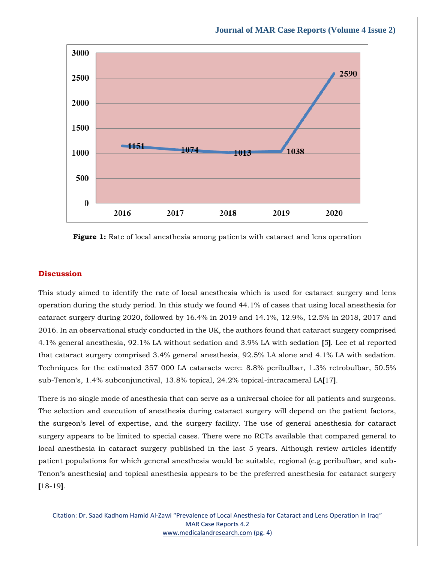

**Figure 1:** Rate of local anesthesia among patients with cataract and lens operation

# **Discussion**

This study aimed to identify the rate of local anesthesia which is used for cataract surgery and lens operation during the study period. In this study we found 44.1% of cases that using local anesthesia for cataract surgery during 2020, followed by 16.4% in 2019 and 14.1%, 12.9%, 12.5% in 2018, 2017 and 2016. In an observational study conducted in the UK, the authors found that cataract surgery comprised 4.1% general anesthesia, 92.1% LA without sedation and 3.9% LA with sedation **[**5**]**. Lee et al reported that cataract surgery comprised 3.4% general anesthesia, 92.5% LA alone and 4.1% LA with sedation. Techniques for the estimated 357 000 LA cataracts were: 8.8% peribulbar, 1.3% retrobulbar, 50.5% sub-Tenon's, 1.4% subconjunctival, 13.8% topical, 24.2% topical-intracameral LA**[**17**]**.

There is no single mode of anesthesia that can serve as a universal choice for all patients and surgeons. The selection and execution of anesthesia during cataract surgery will depend on the patient factors, the surgeon's level of expertise, and the surgery facility. The use of general anesthesia for cataract surgery appears to be limited to special cases. There were no RCTs available that compared general to local anesthesia in cataract surgery published in the last 5 years. Although review articles identify patient populations for which general anesthesia would be suitable, regional (e.g peribulbar, and sub-Tenon's anesthesia) and topical anesthesia appears to be the preferred anesthesia for cataract surgery **[**18-19**]**.

Citation: Dr. Saad Kadhom Hamid Al-Zawi "Prevalence of Local Anesthesia for Cataract and Lens Operation in Iraq" MAR Case Reports 4.2 [www.medicalandresearch.com](http://www.medicalandresearch.com/) (pg. 4)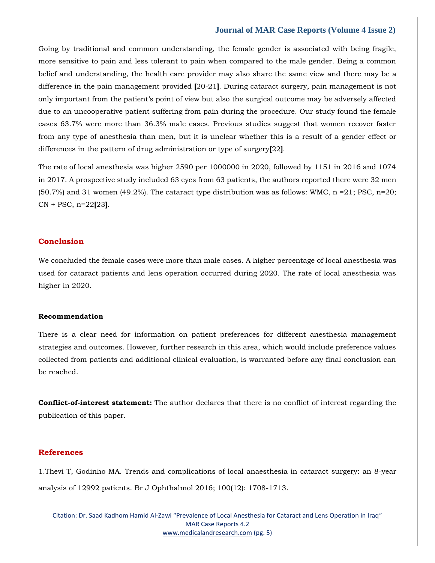Going by traditional and common understanding, the female gender is associated with being fragile, more sensitive to pain and less tolerant to pain when compared to the male gender. Being a common belief and understanding, the health care provider may also share the same view and there may be a difference in the pain management provided **[**20-21**]**. During cataract surgery, pain management is not only important from the patient's point of view but also the surgical outcome may be adversely affected due to an uncooperative patient suffering from pain during the procedure. Our study found the female cases 63.7% were more than 36.3% male cases. Previous studies suggest that women recover faster from any type of anesthesia than men, but it is unclear whether this is a result of a gender effect or differences in the pattern of drug administration or type of surgery**[**22**]**.

The rate of local anesthesia was higher 2590 per 1000000 in 2020, followed by 1151 in 2016 and 1074 in 2017. A prospective study included 63 eyes from 63 patients, the authors reported there were 32 men  $(50.7%)$  and 31 women  $(49.2%)$ . The cataract type distribution was as follows: WMC, n = 21; PSC, n=20; CN + PSC, n=22**[**23**]**.

#### **Conclusion**

We concluded the female cases were more than male cases. A higher percentage of local anesthesia was used for cataract patients and lens operation occurred during 2020. The rate of local anesthesia was higher in 2020.

#### **Recommendation**

There is a clear need for information on patient preferences for different anesthesia management strategies and outcomes. However, further research in this area, which would include preference values collected from patients and additional clinical evaluation, is warranted before any final conclusion can be reached.

**Conflict-of-interest statement:** The author declares that there is no conflict of interest regarding the publication of this paper.

#### **References**

1[.Thevi T, Godinho MA. Trends and complications of local anaesthesia in cataract surgery: an 8-year](https://www.google.com/search?q=Trends+and+complications+of+local+anaesthesia+in+cataract+surgery%3A+an+8-year+analysis+of+12992+patients&oq=Trends+and+complications+of+local+anaesthesia+in+cataract+surgery%3A+an+8-year+analysis+of+12992+patients&aqs=chrome..69i57.357j0j7&sourceid=chrome&ie=UTF-8)  [analysis of 12992 patients. Br J Ophthalmol 2016; 100\(12\): 1708-1713.](https://www.google.com/search?q=Trends+and+complications+of+local+anaesthesia+in+cataract+surgery%3A+an+8-year+analysis+of+12992+patients&oq=Trends+and+complications+of+local+anaesthesia+in+cataract+surgery%3A+an+8-year+analysis+of+12992+patients&aqs=chrome..69i57.357j0j7&sourceid=chrome&ie=UTF-8)

Citation: Dr. Saad Kadhom Hamid Al-Zawi "Prevalence of Local Anesthesia for Cataract and Lens Operation in Iraq" MAR Case Reports 4.2 [www.medicalandresearch.com](http://www.medicalandresearch.com/) (pg. 5)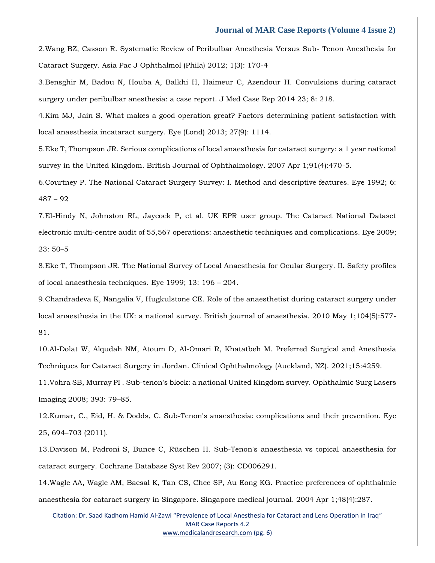2[.Wang BZ, Casson R. Systematic Review of Peribulbar Anesthesia Versus Sub-](https://www.google.com/search?q=Systematic+Review+of+Peribulbar+Anesthesia+Versus+Sub-+Tenon+Anesthesia+for+Cataract+Surgery&sxsrf=AOaemvJuzWEGkv_jyvLNHJo5KLj4DDYUeA%3A1642777367198&ei=F8vqYcXOC5rm2roPtZGp0AY&ved=0ahUKEwiFtqrLjsP1AhUas1YBHbVICmoQ4dUDCA4&uact=5&oq=Systematic+Review+of+Peribulbar+Anesthesia+Versus+Sub-+Tenon+Anesthesia+for+Cataract+Surgery&gs_lcp=Cgdnd3Mtd2l6EAM6BwgjEOoCECdKBAhBGABKBAhGGABQjQVYjQVgzgdoAXACeACAAe8BiAHvAZIBAzItMZgBAKABAaABArABCsABAQ&sclient=gws-wiz) Tenon Anesthesia for [Cataract Surgery. Asia Pac J Ophthalmol \(Phila\) 2012; 1\(3\): 170-4](https://www.google.com/search?q=Systematic+Review+of+Peribulbar+Anesthesia+Versus+Sub-+Tenon+Anesthesia+for+Cataract+Surgery&sxsrf=AOaemvJuzWEGkv_jyvLNHJo5KLj4DDYUeA%3A1642777367198&ei=F8vqYcXOC5rm2roPtZGp0AY&ved=0ahUKEwiFtqrLjsP1AhUas1YBHbVICmoQ4dUDCA4&uact=5&oq=Systematic+Review+of+Peribulbar+Anesthesia+Versus+Sub-+Tenon+Anesthesia+for+Cataract+Surgery&gs_lcp=Cgdnd3Mtd2l6EAM6BwgjEOoCECdKBAhBGABKBAhGGABQjQVYjQVgzgdoAXACeACAAe8BiAHvAZIBAzItMZgBAKABAaABArABCsABAQ&sclient=gws-wiz)

3[.Bensghir M, Badou N, Houba A, Balkhi H, Haimeur C, Azendour](https://www.google.com/search?q=Convulsions+during+cataract+surgery+under+peribulbar+anesthesia%3A+a+case+report&sxsrf=AOaemvI0TCtxB-c9mfGSLICSEeR2UsVK2Q%3A1642777386034&ei=KsvqYeynAern2roPsoS5iAc&ved=0ahUKEwjs5KfUjsP1AhXqs1YBHTJCDnEQ4dUDCA4&uact=5&oq=Convulsions+during+cataract+surgery+under+peribulbar+anesthesia%3A+a+case+report&gs_lcp=Cgdnd3Mtd2l6EAM6BwgjEOoCECdKBAhBGABKBAhGGABQ7wRY7wRgmAdoAXAAeACAAe4BiAHuAZIBAzItMZgBAKABAaABArABCsABAQ&sclient=gws-wiz) H. Convulsions during cataract [surgery under peribulbar anesthesia: a case report. J Med Case Rep 2014 23; 8: 218.](https://www.google.com/search?q=Convulsions+during+cataract+surgery+under+peribulbar+anesthesia%3A+a+case+report&sxsrf=AOaemvI0TCtxB-c9mfGSLICSEeR2UsVK2Q%3A1642777386034&ei=KsvqYeynAern2roPsoS5iAc&ved=0ahUKEwjs5KfUjsP1AhXqs1YBHTJCDnEQ4dUDCA4&uact=5&oq=Convulsions+during+cataract+surgery+under+peribulbar+anesthesia%3A+a+case+report&gs_lcp=Cgdnd3Mtd2l6EAM6BwgjEOoCECdKBAhBGABKBAhGGABQ7wRY7wRgmAdoAXAAeACAAe4BiAHuAZIBAzItMZgBAKABAaABArABCsABAQ&sclient=gws-wiz)

4[.Kim MJ, Jain S. What makes a good operation great? Factors determining patient satisfaction with](https://www.google.com/search?q=What+makes+a+good+operation+great%3F+Factors+determining+patient+satisfaction+with+local+anaesthesia+incataract+surgery&sxsrf=AOaemvIBd2bdlQ5M9gEqAZRLNLNVeuU2xA%3A1642777405597&ei=PcvqYZaDJPTn2roPmYW3yAY&ved=0ahUKEwjWldLdjsP1AhX0s1YBHZnCDWkQ4dUDCA4&uact=5&oq=What+makes+a+good+operation+great%3F+Factors+determining+patient+satisfaction+with+local+anaesthesia+incataract+surgery&gs_lcp=Cgdnd3Mtd2l6EAMyBwgjEOoCECcyBwgjEOoCECcyBwgjEOoCECcyBwgjEOoCECcyBwgjEOoCECcyBwgjEOoCECcyBwgjEOoCECcyBwgjEOoCECcyBwgjEOoCECcyBwgjEOoCECdKBAhBGABKBAhGGABQwQVYwQVgzAdoAXAAeACAAQCIAQCSAQCYAQCgAQGgAQKwAQrAAQE&sclient=gws-wiz)  [local anaesthesia incataract surgery. Eye \(Lond\) 2013; 27\(9\): 1114.](https://www.google.com/search?q=What+makes+a+good+operation+great%3F+Factors+determining+patient+satisfaction+with+local+anaesthesia+incataract+surgery&sxsrf=AOaemvIBd2bdlQ5M9gEqAZRLNLNVeuU2xA%3A1642777405597&ei=PcvqYZaDJPTn2roPmYW3yAY&ved=0ahUKEwjWldLdjsP1AhX0s1YBHZnCDWkQ4dUDCA4&uact=5&oq=What+makes+a+good+operation+great%3F+Factors+determining+patient+satisfaction+with+local+anaesthesia+incataract+surgery&gs_lcp=Cgdnd3Mtd2l6EAMyBwgjEOoCECcyBwgjEOoCECcyBwgjEOoCECcyBwgjEOoCECcyBwgjEOoCECcyBwgjEOoCECcyBwgjEOoCECcyBwgjEOoCECcyBwgjEOoCECcyBwgjEOoCECdKBAhBGABKBAhGGABQwQVYwQVgzAdoAXAAeACAAQCIAQCSAQCYAQCgAQGgAQKwAQrAAQE&sclient=gws-wiz)

5[.Eke T, Thompson JR. Serious complications of local anaesthesia for cataract surgery: a 1 year national](https://www.google.com/search?q=Serious+complications+of+local+anaesthesia+for+cataract+surgery%3A+a+1+year+national+survey+in+the+United+Kingdom&sxsrf=AOaemvKjd_WYBfFAaBLegfzrGxSxnLkLVQ%3A1642777424179&ei=UMvqYYKdCp7f2roPs8W10AY&ved=0ahUKEwiChcDmjsP1AhWer1YBHbNiDWoQ4dUDCA4&uact=5&oq=Serious+complications+of+local+anaesthesia+for+cataract+surgery%3A+a+1+year+national+survey+in+the+United+Kingdom&gs_lcp=Cgdnd3Mtd2l6EAMyBwgjEOoCECcyBwgjEOoCECcyBwgjEOoCECcyBwgjEOoCECcyBwgjEOoCECcyBwgjEOoCECcyBwgjEOoCECcyBwgjEOoCECcyBwgjEOoCECcyBwgjEOoCECdKBAhBGABKBAhGGABQjQVYjQVg0wdoAXAAeACAAQCIAQCSAQCYAQCgAQGgAQKwAQrAAQE&sclient=gws-wiz)  [survey in the United Kingdom. British Journal of Ophthalmology. 2007 Apr 1;91\(4\):470-5.](https://www.google.com/search?q=Serious+complications+of+local+anaesthesia+for+cataract+surgery%3A+a+1+year+national+survey+in+the+United+Kingdom&sxsrf=AOaemvKjd_WYBfFAaBLegfzrGxSxnLkLVQ%3A1642777424179&ei=UMvqYYKdCp7f2roPs8W10AY&ved=0ahUKEwiChcDmjsP1AhWer1YBHbNiDWoQ4dUDCA4&uact=5&oq=Serious+complications+of+local+anaesthesia+for+cataract+surgery%3A+a+1+year+national+survey+in+the+United+Kingdom&gs_lcp=Cgdnd3Mtd2l6EAMyBwgjEOoCECcyBwgjEOoCECcyBwgjEOoCECcyBwgjEOoCECcyBwgjEOoCECcyBwgjEOoCECcyBwgjEOoCECcyBwgjEOoCECcyBwgjEOoCECcyBwgjEOoCECdKBAhBGABKBAhGGABQjQVYjQVg0wdoAXAAeACAAQCIAQCSAQCYAQCgAQGgAQKwAQrAAQE&sclient=gws-wiz)

6[.Courtney P. The National Cataract Surgery Survey: I. Method and descriptive features. Eye 1992; 6:](https://www.google.com/search?q=The+National+Cataract+Surgery+Survey%3A+I.+Method+and+descriptive+features&sxsrf=AOaemvKwKmwt0LeTWVaocvPEObZZdIPKfA%3A1642777443179&ei=Y8vqYeaaCtTh2roP98av2AY&ved=0ahUKEwim2MfvjsP1AhXUsFYBHXfjC2sQ4dUDCA4&uact=5&oq=The+National+Cataract+Surgery+Survey%3A+I.+Method+and+descriptive+features&gs_lcp=Cgdnd3Mtd2l6EAM6BwgjEOoCECdKBAhBGABKBAhGGABQnARYnARgsQZoAXAAeACAAYUCiAGFApIBAzItMZgBAKABAaABArABCsABAQ&sclient=gws-wiz)  [487](https://www.google.com/search?q=The+National+Cataract+Surgery+Survey%3A+I.+Method+and+descriptive+features&sxsrf=AOaemvKwKmwt0LeTWVaocvPEObZZdIPKfA%3A1642777443179&ei=Y8vqYeaaCtTh2roP98av2AY&ved=0ahUKEwim2MfvjsP1AhXUsFYBHXfjC2sQ4dUDCA4&uact=5&oq=The+National+Cataract+Surgery+Survey%3A+I.+Method+and+descriptive+features&gs_lcp=Cgdnd3Mtd2l6EAM6BwgjEOoCECdKBAhBGABKBAhGGABQnARYnARgsQZoAXAAeACAAYUCiAGFApIBAzItMZgBAKABAaABArABCsABAQ&sclient=gws-wiz) – 92

7[.El-Hindy N, Johnston RL, Jaycock P, et al. UK EPR user group. The Cataract National Dataset](https://www.google.com/search?q=The+Cataract+National+Dataset+electronic+multi-centre+audit+of+55%2C567+operations%3A+anaesthetic+techniques+and+complications&sxsrf=AOaemvJEZXBwcOhqrpPww7aoG64AZIDVfg%3A1642777460144&ei=dMvqYaS6CO_i2roPpaaq0AY&ved=0ahUKEwikxNP3jsP1AhVvsVYBHSWTCmoQ4dUDCA4&uact=5&oq=The+Cataract+National+Dataset+electronic+multi-centre+audit+of+55%2C567+operations%3A+anaesthetic+techniques+and+complications&gs_lcp=Cgdnd3Mtd2l6EAMyBwgjEOoCECcyBwgjEOoCECcyBwgjEOoCECcyBwgjEOoCECcyBwgjEOoCECcyBwgjEOoCECcyBwgjEOoCECcyBwgjEOoCECcyBwgjEOoCECcyBwgjEOoCECdKBAhBGABKBAhGGABQsQVYsQVgxgdoAXAAeACAAQCIAQCSAQCYAQCgAQGgAQKwAQrAAQE&sclient=gws-wiz)  [electronic multi-centre audit of 55,567 operations: anaesthetic techniques and complications. Eye 2009;](https://www.google.com/search?q=The+Cataract+National+Dataset+electronic+multi-centre+audit+of+55%2C567+operations%3A+anaesthetic+techniques+and+complications&sxsrf=AOaemvJEZXBwcOhqrpPww7aoG64AZIDVfg%3A1642777460144&ei=dMvqYaS6CO_i2roPpaaq0AY&ved=0ahUKEwikxNP3jsP1AhVvsVYBHSWTCmoQ4dUDCA4&uact=5&oq=The+Cataract+National+Dataset+electronic+multi-centre+audit+of+55%2C567+operations%3A+anaesthetic+techniques+and+complications&gs_lcp=Cgdnd3Mtd2l6EAMyBwgjEOoCECcyBwgjEOoCECcyBwgjEOoCECcyBwgjEOoCECcyBwgjEOoCECcyBwgjEOoCECcyBwgjEOoCECcyBwgjEOoCECcyBwgjEOoCECcyBwgjEOoCECdKBAhBGABKBAhGGABQsQVYsQVgxgdoAXAAeACAAQCIAQCSAQCYAQCgAQGgAQKwAQrAAQE&sclient=gws-wiz)  [23: 50](https://www.google.com/search?q=The+Cataract+National+Dataset+electronic+multi-centre+audit+of+55%2C567+operations%3A+anaesthetic+techniques+and+complications&sxsrf=AOaemvJEZXBwcOhqrpPww7aoG64AZIDVfg%3A1642777460144&ei=dMvqYaS6CO_i2roPpaaq0AY&ved=0ahUKEwikxNP3jsP1AhVvsVYBHSWTCmoQ4dUDCA4&uact=5&oq=The+Cataract+National+Dataset+electronic+multi-centre+audit+of+55%2C567+operations%3A+anaesthetic+techniques+and+complications&gs_lcp=Cgdnd3Mtd2l6EAMyBwgjEOoCECcyBwgjEOoCECcyBwgjEOoCECcyBwgjEOoCECcyBwgjEOoCECcyBwgjEOoCECcyBwgjEOoCECcyBwgjEOoCECcyBwgjEOoCECcyBwgjEOoCECdKBAhBGABKBAhGGABQsQVYsQVgxgdoAXAAeACAAQCIAQCSAQCYAQCgAQGgAQKwAQrAAQE&sclient=gws-wiz)–5

8[.Eke T, Thompson JR. The National Survey of Local Anaesthesia for Ocular Surgery. II. Safety profiles](https://www.google.com/search?q=The+National+Survey+of+Local+Anaesthesia+for+Ocular+Surgery.+II.+Safety+profiles+of+local+anaesthesia+techniques&sxsrf=AOaemvITLFCjVF7BGbLhaVYPF-IXQ1tX1Q%3A1642777489087&ei=kcvqYY7eBKPd2roPyeeHyAY&ved=0ahUKEwjO6rmFj8P1AhWjrlYBHcnzAWkQ4dUDCA4&uact=5&oq=The+National+Survey+of+Local+Anaesthesia+for+Ocular+Surgery.+II.+Safety+profiles+of+local+anaesthesia+techniques&gs_lcp=Cgdnd3Mtd2l6EAMyBwgjEOoCECcyBwgjEOoCECcyBwgjEOoCECcyBwgjEOoCECcyBwgjEOoCECcyBwgjEOoCECcyBwgjEOoCECcyBwgjEOoCECcyBwgjEOoCECcyBwgjEOoCECdKBAhBGABKBAhGGABQpQVYpQVgjgdoAXAAeACAAQCIAQCSAQCYAQCgAQGgAQKwAQrAAQE&sclient=gws-wiz)  [of local anaesthesia techniques. Eye 1999; 13: 196](https://www.google.com/search?q=The+National+Survey+of+Local+Anaesthesia+for+Ocular+Surgery.+II.+Safety+profiles+of+local+anaesthesia+techniques&sxsrf=AOaemvITLFCjVF7BGbLhaVYPF-IXQ1tX1Q%3A1642777489087&ei=kcvqYY7eBKPd2roPyeeHyAY&ved=0ahUKEwjO6rmFj8P1AhWjrlYBHcnzAWkQ4dUDCA4&uact=5&oq=The+National+Survey+of+Local+Anaesthesia+for+Ocular+Surgery.+II.+Safety+profiles+of+local+anaesthesia+techniques&gs_lcp=Cgdnd3Mtd2l6EAMyBwgjEOoCECcyBwgjEOoCECcyBwgjEOoCECcyBwgjEOoCECcyBwgjEOoCECcyBwgjEOoCECcyBwgjEOoCECcyBwgjEOoCECcyBwgjEOoCECcyBwgjEOoCECdKBAhBGABKBAhGGABQpQVYpQVgjgdoAXAAeACAAQCIAQCSAQCYAQCgAQGgAQKwAQrAAQE&sclient=gws-wiz) – 204.

9[.Chandradeva K, Nangalia V, Hugkulstone CE. Role of the anaesthetist during cataract surgery under](https://www.google.com/search?q=Role+of+the+anaesthetist+during+cataract+surgery+under+local+anaesthesia+in+the+UK%3A+a+national+survey&sxsrf=AOaemvJ0EU4Hjuu9TnqWgzHagZbuW1KBeg%3A1642777506718&ei=osvqYa_-Krel2roP55i64AY&ved=0ahUKEwiv1-2Nj8P1AhW3klYBHWeMDmwQ4dUDCA4&uact=5&oq=Role+of+the+anaesthetist+during+cataract+surgery+under+local+anaesthesia+in+the+UK%3A+a+national+survey&gs_lcp=Cgdnd3Mtd2l6EAMyBwgjEOoCECcyBwgjEOoCECcyBwgjEOoCECcyBwgjEOoCECcyBwgjEOoCECcyBwgjEOoCECcyBwgjEOoCECcyBwgjEOoCECcyBwgjEOoCECcyBwgjEOoCECdKBAhBGABKBAhGGABQ3wRY3wRg2wZoAXAAeACAAQCIAQCSAQCYAQCgAQGgAQKwAQrAAQE&sclient=gws-wiz)  [local anaesthesia in the UK: a national survey. British journal of anaesthesia. 2010 May 1;104\(5\):577-](https://www.google.com/search?q=Role+of+the+anaesthetist+during+cataract+surgery+under+local+anaesthesia+in+the+UK%3A+a+national+survey&sxsrf=AOaemvJ0EU4Hjuu9TnqWgzHagZbuW1KBeg%3A1642777506718&ei=osvqYa_-Krel2roP55i64AY&ved=0ahUKEwiv1-2Nj8P1AhW3klYBHWeMDmwQ4dUDCA4&uact=5&oq=Role+of+the+anaesthetist+during+cataract+surgery+under+local+anaesthesia+in+the+UK%3A+a+national+survey&gs_lcp=Cgdnd3Mtd2l6EAMyBwgjEOoCECcyBwgjEOoCECcyBwgjEOoCECcyBwgjEOoCECcyBwgjEOoCECcyBwgjEOoCECcyBwgjEOoCECcyBwgjEOoCECcyBwgjEOoCECcyBwgjEOoCECdKBAhBGABKBAhGGABQ3wRY3wRg2wZoAXAAeACAAQCIAQCSAQCYAQCgAQGgAQKwAQrAAQE&sclient=gws-wiz) [81.](https://www.google.com/search?q=Role+of+the+anaesthetist+during+cataract+surgery+under+local+anaesthesia+in+the+UK%3A+a+national+survey&sxsrf=AOaemvJ0EU4Hjuu9TnqWgzHagZbuW1KBeg%3A1642777506718&ei=osvqYa_-Krel2roP55i64AY&ved=0ahUKEwiv1-2Nj8P1AhW3klYBHWeMDmwQ4dUDCA4&uact=5&oq=Role+of+the+anaesthetist+during+cataract+surgery+under+local+anaesthesia+in+the+UK%3A+a+national+survey&gs_lcp=Cgdnd3Mtd2l6EAMyBwgjEOoCECcyBwgjEOoCECcyBwgjEOoCECcyBwgjEOoCECcyBwgjEOoCECcyBwgjEOoCECcyBwgjEOoCECcyBwgjEOoCECcyBwgjEOoCECcyBwgjEOoCECdKBAhBGABKBAhGGABQ3wRY3wRg2wZoAXAAeACAAQCIAQCSAQCYAQCgAQGgAQKwAQrAAQE&sclient=gws-wiz)

10[.Al-Dolat W, Alqudah NM, Atoum D, Al-Omari R, Khatatbeh M. Preferred Surgical and Anesthesia](https://www.google.com/search?q=Preferred+Surgical+and+Anesthesia+Techniques+for+Cataract+Surgery+in+Jordan&sxsrf=AOaemvLwTzQRgBTzoksKu9gI6dPCnIS7Xw%3A1642777523920&ei=s8vqYbjQN-ra2roPpamV2AY&ved=0ahUKEwj49YeWj8P1AhVqrVYBHaVUBWsQ4dUDCA4&uact=5&oq=Preferred+Surgical+and+Anesthesia+Techniques+for+Cataract+Surgery+in+Jordan&gs_lcp=Cgdnd3Mtd2l6EAMyBwgjEOoCECcyBwgjEOoCECcyBwgjEOoCECcyBwgjEOoCECcyBwgjEOoCECcyBwgjEOoCECcyBwgjEOoCECcyBwgjEOoCECcyBwgjEOoCECcyBwgjEOoCECdKBAhBGABKBAhGGABQsQVYsQVgmQdoAXAAeACAAQCIAQCSAQCYAQCgAQGgAQKwAQrAAQE&sclient=gws-wiz)  [Techniques for Cataract Surgery in Jordan. Clinical Ophthalmology \(Auckland, NZ\). 2021;15:4259.](https://www.google.com/search?q=Preferred+Surgical+and+Anesthesia+Techniques+for+Cataract+Surgery+in+Jordan&sxsrf=AOaemvLwTzQRgBTzoksKu9gI6dPCnIS7Xw%3A1642777523920&ei=s8vqYbjQN-ra2roPpamV2AY&ved=0ahUKEwj49YeWj8P1AhVqrVYBHaVUBWsQ4dUDCA4&uact=5&oq=Preferred+Surgical+and+Anesthesia+Techniques+for+Cataract+Surgery+in+Jordan&gs_lcp=Cgdnd3Mtd2l6EAMyBwgjEOoCECcyBwgjEOoCECcyBwgjEOoCECcyBwgjEOoCECcyBwgjEOoCECcyBwgjEOoCECcyBwgjEOoCECcyBwgjEOoCECcyBwgjEOoCECcyBwgjEOoCECdKBAhBGABKBAhGGABQsQVYsQVgmQdoAXAAeACAAQCIAQCSAQCYAQCgAQGgAQKwAQrAAQE&sclient=gws-wiz)

11[.Vohra SB, Murray PI . Sub-tenon's block: a national United Kingdom survey. Ophthalmic Surg Lasers](https://www.google.com/search?q=Sub-tenon%27s+block%3A+a+national+United+Kingdom+survey&sxsrf=AOaemvKWlZI9xvEGldGhk6U3d_GZAVCXIA%3A1642777541537&ei=xcvqYdupIJrd2roPto2i0AY&ved=0ahUKEwiboLuej8P1AhWarlYBHbaGCGoQ4dUDCA4&uact=5&oq=Sub-tenon%27s+block%3A+a+national+United+Kingdom+survey&gs_lcp=Cgdnd3Mtd2l6EAMyBQghEKABOgcIIxDqAhAnSgQIQRgASgQIRhgAUK8FWK8FYOYHaAFwAHgAgAGkAogBpAKSAQMyLTGYAQCgAQGgAQKwAQrAAQE&sclient=gws-wiz)  [Imaging 2008; 393: 79](https://www.google.com/search?q=Sub-tenon%27s+block%3A+a+national+United+Kingdom+survey&sxsrf=AOaemvKWlZI9xvEGldGhk6U3d_GZAVCXIA%3A1642777541537&ei=xcvqYdupIJrd2roPto2i0AY&ved=0ahUKEwiboLuej8P1AhWarlYBHbaGCGoQ4dUDCA4&uact=5&oq=Sub-tenon%27s+block%3A+a+national+United+Kingdom+survey&gs_lcp=Cgdnd3Mtd2l6EAMyBQghEKABOgcIIxDqAhAnSgQIQRgASgQIRhgAUK8FWK8FYOYHaAFwAHgAgAGkAogBpAKSAQMyLTGYAQCgAQGgAQKwAQrAAQE&sclient=gws-wiz)–85.

12[.Kumar, C., Eid, H. & Dodds, C. Sub-Tenon's anaesthesia: complications and their prevention. Eye](https://www.google.com/search?q=Sub-Tenon%27s+anaesthesia%3A+complications+and+their+prevention&sxsrf=AOaemvJILFq_BZ6-05xsry0NnO6A2xertQ%3A1642777561790&ei=2cvqYd7YL_fh2roPyeOY6AU&ved=0ahUKEwieqY-oj8P1AhX3sFYBHckxBl0Q4dUDCA4&uact=5&oq=Sub-Tenon%27s+anaesthesia%3A+complications+and+their+prevention&gs_lcp=Cgdnd3Mtd2l6EAMyBwgjEOoCECcyBwgjEOoCECcyBwgjEOoCECcyBwgjEOoCECcyBwgjEOoCECcyBwgjEOoCECcyBwgjEOoCECcyBwgjEOoCECcyBwgjEOoCECcyBwgjEOoCECdKBAhBGABKBAhGGABQtAVYtAVgqwdoAXAAeACAAQCIAQCSAQCYAQCgAQGgAQKwAQrAAQE&sclient=gws-wiz)  25, 694–[703 \(2011\).](https://www.google.com/search?q=Sub-Tenon%27s+anaesthesia%3A+complications+and+their+prevention&sxsrf=AOaemvJILFq_BZ6-05xsry0NnO6A2xertQ%3A1642777561790&ei=2cvqYd7YL_fh2roPyeOY6AU&ved=0ahUKEwieqY-oj8P1AhX3sFYBHckxBl0Q4dUDCA4&uact=5&oq=Sub-Tenon%27s+anaesthesia%3A+complications+and+their+prevention&gs_lcp=Cgdnd3Mtd2l6EAMyBwgjEOoCECcyBwgjEOoCECcyBwgjEOoCECcyBwgjEOoCECcyBwgjEOoCECcyBwgjEOoCECcyBwgjEOoCECcyBwgjEOoCECcyBwgjEOoCECcyBwgjEOoCECdKBAhBGABKBAhGGABQtAVYtAVgqwdoAXAAeACAAQCIAQCSAQCYAQCgAQGgAQKwAQrAAQE&sclient=gws-wiz)

13[.Davison M, Padroni S, Bunce C, Rüschen H. Sub-Tenon's anaesthesia vs topical anaesthesia for](https://www.google.com/search?q=Sub-Tenon%27s+anaesthesia+vs+topical+anaesthesia+for+cataract+surgery&sxsrf=AOaemvIhZTfLHYr8hjDfvYuC2BL81-Xcxg%3A1642777577191&ei=6cvqYY3ACtPg2roP7JmL4AY&ved=0ahUKEwjN2Lqvj8P1AhVTsFYBHezMAmwQ4dUDCA4&uact=5&oq=Sub-Tenon%27s+anaesthesia+vs+topical+anaesthesia+for+cataract+surgery&gs_lcp=Cgdnd3Mtd2l6EAM6BwgjEOoCECdKBAhBGABKBAhGGABQrQVYrQVgrgdoAXACeACAAekBiAHpAZIBAzItMZgBAKABAaABArABCsABAQ&sclient=gws-wiz)  [cataract surgery. Cochrane Database Syst Rev 2007; \(3\): CD006291.](https://www.google.com/search?q=Sub-Tenon%27s+anaesthesia+vs+topical+anaesthesia+for+cataract+surgery&sxsrf=AOaemvIhZTfLHYr8hjDfvYuC2BL81-Xcxg%3A1642777577191&ei=6cvqYY3ACtPg2roP7JmL4AY&ved=0ahUKEwjN2Lqvj8P1AhVTsFYBHezMAmwQ4dUDCA4&uact=5&oq=Sub-Tenon%27s+anaesthesia+vs+topical+anaesthesia+for+cataract+surgery&gs_lcp=Cgdnd3Mtd2l6EAM6BwgjEOoCECdKBAhBGABKBAhGGABQrQVYrQVgrgdoAXACeACAAekBiAHpAZIBAzItMZgBAKABAaABArABCsABAQ&sclient=gws-wiz)

14[.Wagle AA, Wagle AM, Bacsal K, Tan CS, Chee SP, Au Eong KG. Practice preferences of ophthalmic](https://www.google.com/search?q=Practice+preferences+of+ophthalmic+anaesthesia+for+cataract+surgery+in+Singapore&sxsrf=AOaemvJT_pxFIS7gGXI_bQRB4jOITSqKqw%3A1642777597063&ei=_cvqYaO4A_Dj2roP9u2cyAY&ved=0ahUKEwjjqvi4j8P1AhXwsVYBHfY2B2kQ4dUDCA4&uact=5&oq=Practice+preferences+of+ophthalmic+anaesthesia+for+cataract+surgery+in+Singapore&gs_lcp=Cgdnd3Mtd2l6EAM6BwgjEOoCECdKBAhBGABKBAhGGABQtAVYtAVgywdoAXACeACAAdcBiAHXAZIBAzItMZgBAKABAaABArABCsABAQ&sclient=gws-wiz)  [anaesthesia for cataract surgery in Singapore. Singapore medical journal. 2004 Apr 1;48\(4\):287.](https://www.google.com/search?q=Practice+preferences+of+ophthalmic+anaesthesia+for+cataract+surgery+in+Singapore&sxsrf=AOaemvJT_pxFIS7gGXI_bQRB4jOITSqKqw%3A1642777597063&ei=_cvqYaO4A_Dj2roP9u2cyAY&ved=0ahUKEwjjqvi4j8P1AhXwsVYBHfY2B2kQ4dUDCA4&uact=5&oq=Practice+preferences+of+ophthalmic+anaesthesia+for+cataract+surgery+in+Singapore&gs_lcp=Cgdnd3Mtd2l6EAM6BwgjEOoCECdKBAhBGABKBAhGGABQtAVYtAVgywdoAXACeACAAdcBiAHXAZIBAzItMZgBAKABAaABArABCsABAQ&sclient=gws-wiz)

Citation: Dr. Saad Kadhom Hamid Al-Zawi "Prevalence of Local Anesthesia for Cataract and Lens Operation in Iraq" MAR Case Reports 4.2 [www.medicalandresearch.com](http://www.medicalandresearch.com/) (pg. 6)